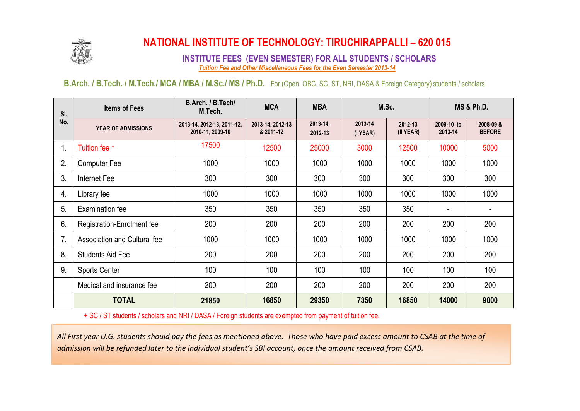

## **NATIONAL INSTITUTE OF TECHNOLOGY: TIRUCHIRAPPALLI – 620 015**

**INSTITUTE FEES (EVEN SEMESTER) FOR ALL STUDENTS / SCHOLARS** *Tuition Fee and Other Miscellaneous Fees for the Even Semester 2013-14*

**B.Arch. / B.Tech. / M.Tech./ MCA / MBA / M.Sc./ MS / Ph.D.** For (Open, OBC, SC, ST, NRI, DASA & Foreign Category) students / scholars

| SI.<br>No. | <b>Items of Fees</b>              | B.Arch. / B.Tech/<br>M.Tech.                   | <b>MCA</b>                    | <b>MBA</b>          | M.Sc.               |                      | <b>MS &amp; Ph.D.</b> |                            |
|------------|-----------------------------------|------------------------------------------------|-------------------------------|---------------------|---------------------|----------------------|-----------------------|----------------------------|
|            | <b>YEAR OF ADMISSIONS</b>         | 2013-14, 2012-13, 2011-12,<br>2010-11, 2009-10 | 2013-14, 2012-13<br>& 2011-12 | 2013-14,<br>2012-13 | 2013-14<br>(I YEAR) | 2012-13<br>(II YEAR) | 2009-10 to<br>2013-14 | 2008-09 &<br><b>BEFORE</b> |
| 1.         | Tuition fee +                     | 17500                                          | 12500                         | 25000               | 3000                | 12500                | 10000                 | 5000                       |
| 2.         | <b>Computer Fee</b>               | 1000                                           | 1000                          | 1000                | 1000                | 1000                 | 1000                  | 1000                       |
| 3.         | Internet Fee                      | 300                                            | 300                           | 300                 | 300                 | 300                  | 300                   | 300                        |
| 4.         | Library fee                       | 1000                                           | 1000                          | 1000                | 1000                | 1000                 | 1000                  | 1000                       |
| 5.         | Examination fee                   | 350                                            | 350                           | 350                 | 350                 | 350                  |                       |                            |
| 6.         | <b>Registration-Enrolment fee</b> | 200                                            | 200                           | 200                 | 200                 | 200                  | 200                   | 200                        |
| 7.         | Association and Cultural fee      | 1000                                           | 1000                          | 1000                | 1000                | 1000                 | 1000                  | 1000                       |
| 8.         | <b>Students Aid Fee</b>           | 200                                            | 200                           | 200                 | 200                 | 200                  | 200                   | 200                        |
| 9.         | <b>Sports Center</b>              | 100                                            | 100                           | 100                 | 100                 | 100                  | 100                   | 100                        |
|            | Medical and insurance fee         | 200                                            | 200                           | 200                 | 200                 | 200                  | 200                   | 200                        |
|            | <b>TOTAL</b>                      | 21850                                          | 16850                         | 29350               | 7350                | 16850                | 14000                 | 9000                       |

+ SC / ST students / scholars and NRI / DASA / Foreign students are exempted from payment of tuition fee.

*All First year U.G. students should pay the fees as mentioned above. Those who have paid excess amount to CSAB at the time of admission will be refunded later to the individual student's SBI account, once the amount received from CSAB.*